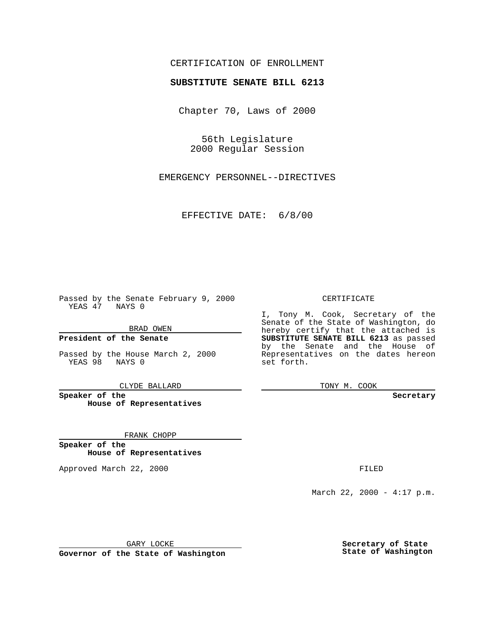### CERTIFICATION OF ENROLLMENT

# **SUBSTITUTE SENATE BILL 6213**

Chapter 70, Laws of 2000

56th Legislature 2000 Regular Session

EMERGENCY PERSONNEL--DIRECTIVES

EFFECTIVE DATE: 6/8/00

Passed by the Senate February 9, 2000 YEAS 47 NAYS 0

BRAD OWEN

**President of the Senate**

Passed by the House March 2, 2000 YEAS 98 NAYS 0

CLYDE BALLARD

**Speaker of the House of Representatives**

FRANK CHOPP

**Speaker of the House of Representatives**

Approved March 22, 2000 FILED

#### CERTIFICATE

I, Tony M. Cook, Secretary of the Senate of the State of Washington, do hereby certify that the attached is **SUBSTITUTE SENATE BILL 6213** as passed by the Senate and the House of Representatives on the dates hereon set forth.

TONY M. COOK

**Secretary**

March 22, 2000 - 4:17 p.m.

GARY LOCKE

**Governor of the State of Washington**

**Secretary of State State of Washington**